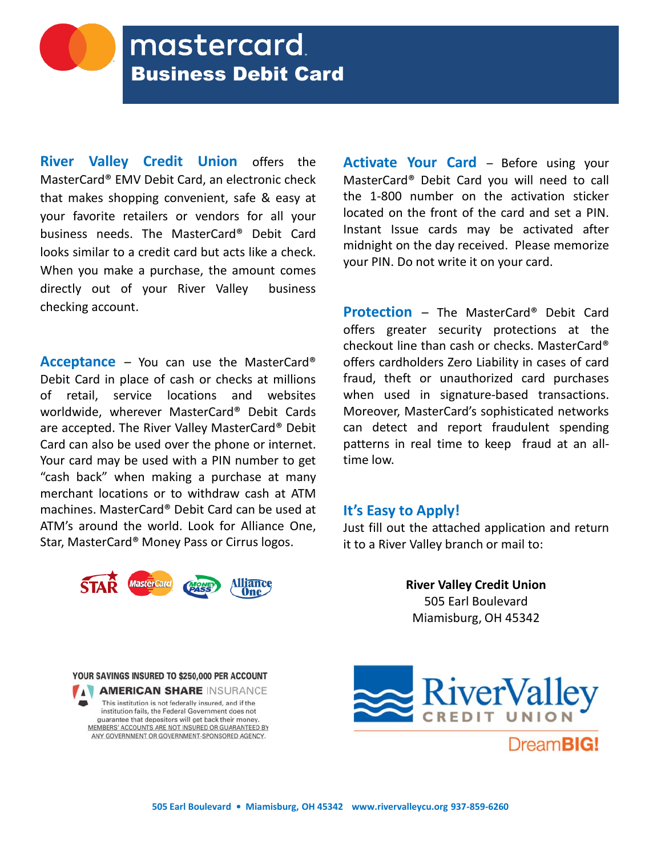**River Valley Credit Union** offers the MasterCard® EMV Debit Card, an electronic check that makes shopping convenient, safe & easy at your favorite retailers or vendors for all your business needs. The MasterCard® Debit Card looks similar to a credit card but acts like a check. When you make a purchase, the amount comes directly out of your River Valley business checking account.

**Acceptance** – You can use the MasterCard® Debit Card in place of cash or checks at millions of retail, service locations and websites worldwide, wherever MasterCard® Debit Cards are accepted. The River Valley MasterCard® Debit Card can also be used over the phone or internet. Your card may be used with a PIN number to get "cash back" when making a purchase at many merchant locations or to withdraw cash at ATM machines. MasterCard® Debit Card can be used at ATM's around the world. Look for Alliance One, Star, MasterCard® Money Pass or Cirrus logos.



**Activate Your Card** – Before using your MasterCard® Debit Card you will need to call the 1-800 number on the activation sticker located on the front of the card and set a PIN. Instant Issue cards may be activated after midnight on the day received. Please memorize your PIN. Do not write it on your card.

**Protection** – The MasterCard® Debit Card offers greater security protections at the checkout line than cash or checks. MasterCard® offers cardholders Zero Liability in cases of card fraud, theft or unauthorized card purchases when used in signature-based transactions. Moreover, MasterCard's sophisticated networks can detect and report fraudulent spending patterns in real time to keep fraud at an alltime low.

# **It's Easy to Apply!**

Just fill out the attached application and return it to a River Valley branch or mail to:

> **River Valley Credit Union**  505 Earl Boulevard Miamisburg, OH 45342

YOUR SAVINGS INSURED TO \$250,000 PER ACCOUNT A AMERICAN SHARE INSURANCE This institution is not federally insured, and if the institution fails, the Federal Government does not guarantee that depositors will get back their money.

MEMBERS' ACCOUNTS ARE NOT INSURED OR GUARANTEED BY ANY GOVERNMENT OR GOVERNMENT-SPONSORED AGENCY.